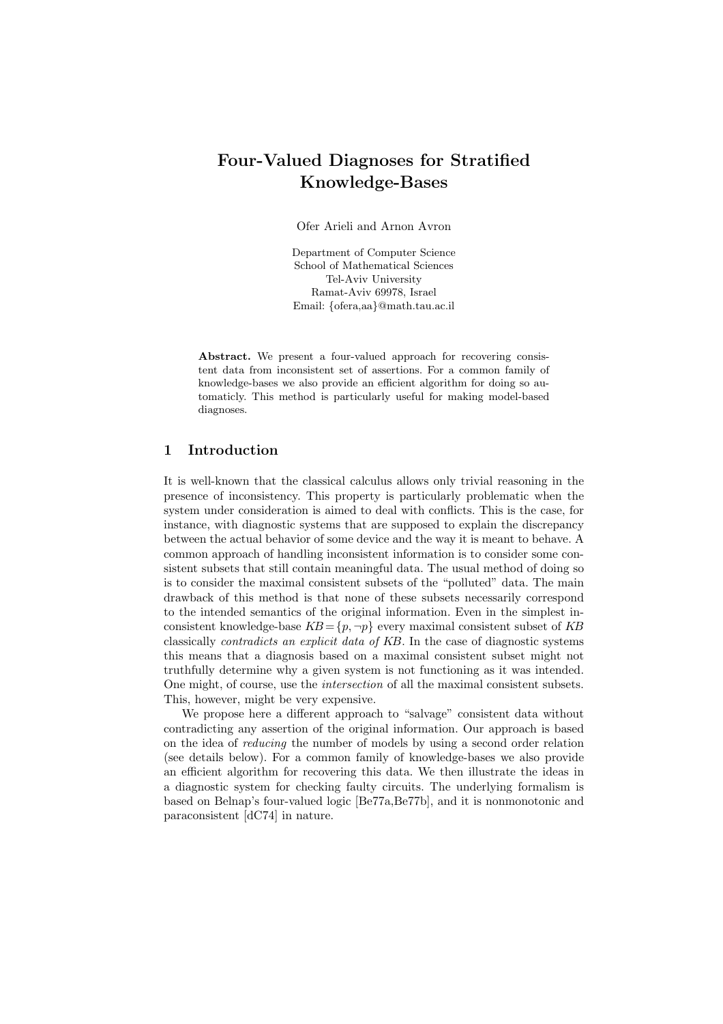# Four-Valued Diagnoses for Stratified Knowledge-Bases

Ofer Arieli and Arnon Avron

Department of Computer Science School of Mathematical Sciences Tel-Aviv University Ramat-Aviv 69978, Israel Email: {ofera,aa}@math.tau.ac.il

Abstract. We present a four-valued approach for recovering consistent data from inconsistent set of assertions. For a common family of knowledge-bases we also provide an efficient algorithm for doing so automaticly. This method is particularly useful for making model-based diagnoses.

# 1 Introduction

It is well-known that the classical calculus allows only trivial reasoning in the presence of inconsistency. This property is particularly problematic when the system under consideration is aimed to deal with conflicts. This is the case, for instance, with diagnostic systems that are supposed to explain the discrepancy between the actual behavior of some device and the way it is meant to behave. A common approach of handling inconsistent information is to consider some consistent subsets that still contain meaningful data. The usual method of doing so is to consider the maximal consistent subsets of the "polluted" data. The main drawback of this method is that none of these subsets necessarily correspond to the intended semantics of the original information. Even in the simplest inconsistent knowledge-base  $KB = \{p, \neg p\}$  every maximal consistent subset of KB classically contradicts an explicit data of KB. In the case of diagnostic systems this means that a diagnosis based on a maximal consistent subset might not truthfully determine why a given system is not functioning as it was intended. One might, of course, use the intersection of all the maximal consistent subsets. This, however, might be very expensive.

We propose here a different approach to "salvage" consistent data without contradicting any assertion of the original information. Our approach is based on the idea of reducing the number of models by using a second order relation (see details below). For a common family of knowledge-bases we also provide an efficient algorithm for recovering this data. We then illustrate the ideas in a diagnostic system for checking faulty circuits. The underlying formalism is based on Belnap's four-valued logic [Be77a,Be77b], and it is nonmonotonic and paraconsistent [dC74] in nature.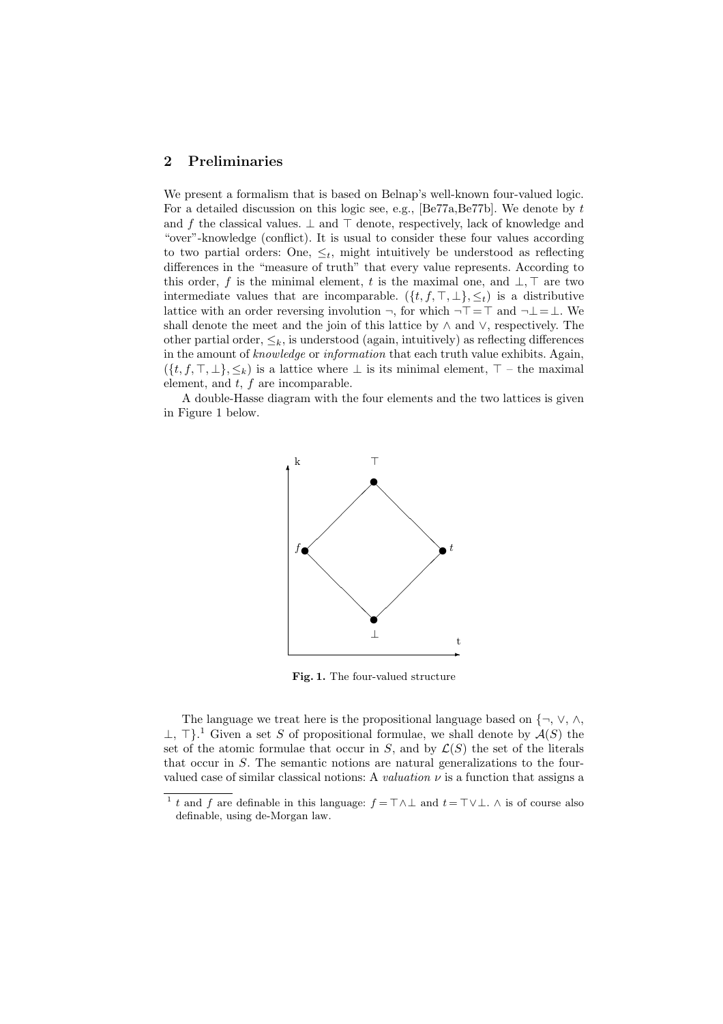#### 2 Preliminaries

We present a formalism that is based on Belnap's well-known four-valued logic. For a detailed discussion on this logic see, e.g.,  $[Be77a,Be77b]$ . We denote by t and f the classical values.  $\perp$  and  $\perp$  denote, respectively, lack of knowledge and "over"-knowledge (conflict). It is usual to consider these four values according to two partial orders: One,  $\leq_t$ , might intuitively be understood as reflecting differences in the "measure of truth" that every value represents. According to this order, f is the minimal element, t is the maximal one, and  $\bot$ ,  $\top$  are two intermediate values that are incomparable.  $({t, f, \top, \bot}, \leq_t)$  is a distributive lattice with an order reversing involution  $\neg$ , for which  $\neg$   $\top$  =  $\top$  and  $\neg$  ⊥ = ⊥. We shall denote the meet and the join of this lattice by ∧ and ∨, respectively. The other partial order,  $\leq_k$ , is understood (again, intuitively) as reflecting differences in the amount of knowledge or information that each truth value exhibits. Again,  $({t, f, \top, \bot}, \leq_k)$  is a lattice where  $\bot$  is its minimal element,  $\top$  – the maximal element, and  $t$ ,  $f$  are incomparable.

A double-Hasse diagram with the four elements and the two lattices is given in Figure 1 below.



Fig. 1. The four-valued structure

The language we treat here is the propositional language based on {¬, ∨, ∧,  $\perp$ ,  $\perp$ <sup>1</sup>. Given a set S of propositional formulae, we shall denote by  $\mathcal{A}(S)$  the set of the atomic formulae that occur in  $S$ , and by  $\mathcal{L}(S)$  the set of the literals that occur in S. The semantic notions are natural generalizations to the fourvalued case of similar classical notions: A *valuation*  $\nu$  is a function that assigns a

<sup>&</sup>lt;sup>1</sup> t and f are definable in this language:  $f = T \wedge \perp$  and  $t = T \vee \perp$ .  $\wedge$  is of course also definable, using de-Morgan law.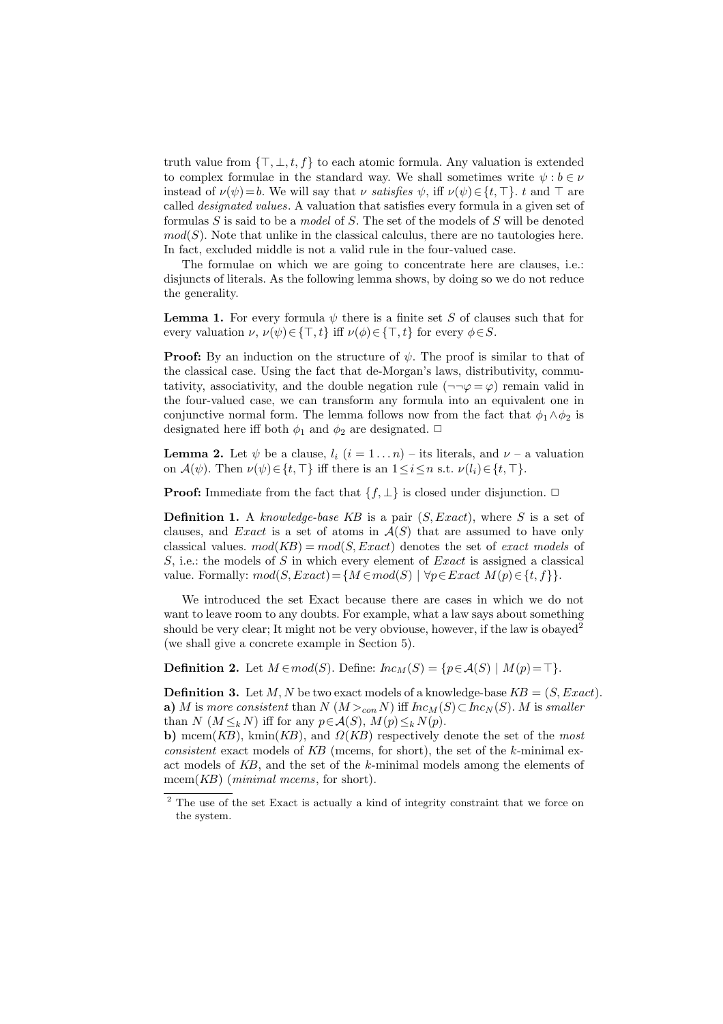truth value from  $\{\top, \bot, t, f\}$  to each atomic formula. Any valuation is extended to complex formulae in the standard way. We shall sometimes write  $\psi : b \in \nu$ instead of  $\nu(\psi) = b$ . We will say that  $\nu$  satisfies  $\psi$ , iff  $\nu(\psi) \in \{t, \top\}$ . t and  $\top$  are called designated values. A valuation that satisfies every formula in a given set of formulas  $S$  is said to be a *model* of  $S$ . The set of the models of  $S$  will be denoted  $mod(S)$ . Note that unlike in the classical calculus, there are no tautologies here. In fact, excluded middle is not a valid rule in the four-valued case.

The formulae on which we are going to concentrate here are clauses, i.e.: disjuncts of literals. As the following lemma shows, by doing so we do not reduce the generality.

**Lemma 1.** For every formula  $\psi$  there is a finite set S of clauses such that for every valuation  $\nu$ ,  $\nu(\psi) \in \{\top, t\}$  iff  $\nu(\phi) \in \{\top, t\}$  for every  $\phi \in S$ .

**Proof:** By an induction on the structure of  $\psi$ . The proof is similar to that of the classical case. Using the fact that de-Morgan's laws, distributivity, commutativity, associativity, and the double negation rule  $(\neg\neg\varphi = \varphi)$  remain valid in the four-valued case, we can transform any formula into an equivalent one in conjunctive normal form. The lemma follows now from the fact that  $\phi_1 \wedge \phi_2$  is designated here iff both  $\phi_1$  and  $\phi_2$  are designated.  $\Box$ 

**Lemma 2.** Let  $\psi$  be a clause,  $l_i$   $(i = 1 \dots n)$  – its literals, and  $\nu$  – a valuation on  $\mathcal{A}(\psi)$ . Then  $\nu(\psi) \in \{t, \top\}$  iff there is an  $1 \leq i \leq n$  s.t.  $\nu(l_i) \in \{t, \top\}$ .

**Proof:** Immediate from the fact that  $\{f, \perp\}$  is closed under disjunction.  $\Box$ 

**Definition 1.** A knowledge-base KB is a pair  $(S, Exact)$ , where S is a set of clauses, and Exact is a set of atoms in  $\mathcal{A}(S)$  that are assumed to have only classical values.  $mod(KB) = mod(S, Exact)$  denotes the set of exact models of  $S$ , i.e.: the models of  $S$  in which every element of  $Exact$  is assigned a classical value. Formally:  $mod(S, Exact) = \{M \in mod(S) \mid \forall p \in Exact \ M(p) \in \{t, f\}\}.$ 

We introduced the set Exact because there are cases in which we do not want to leave room to any doubts. For example, what a law says about something should be very clear; It might not be very obviouse, however, if the law is obayed<sup>2</sup> (we shall give a concrete example in Section 5).

**Definition 2.** Let  $M \in mod(S)$ . Define:  $\text{Inc}_M(S) = \{p \in \mathcal{A}(S) \mid M(p) = \top\}.$ 

**Definition 3.** Let M, N be two exact models of a knowledge-base  $KB = (S, Exact)$ . a) M is more consistent than  $N(M >_{con} N)$  iff  $Inc_M(S) \subset Inc_N(S)$ . M is smaller than  $N$  ( $M \leq_k N$ ) iff for any  $p \in \mathcal{A}(S)$ ,  $M(p) \leq_k N(p)$ .

b) mcem(KB), kmin(KB), and  $\Omega(KB)$  respectively denote the set of the most consistent exact models of  $KB$  (mcems, for short), the set of the k-minimal exact models of KB, and the set of the k-minimal models among the elements of mcem $(KB)$  (*minimal mcems*, for short).

<sup>&</sup>lt;sup>2</sup> The use of the set Exact is actually a kind of integrity constraint that we force on the system.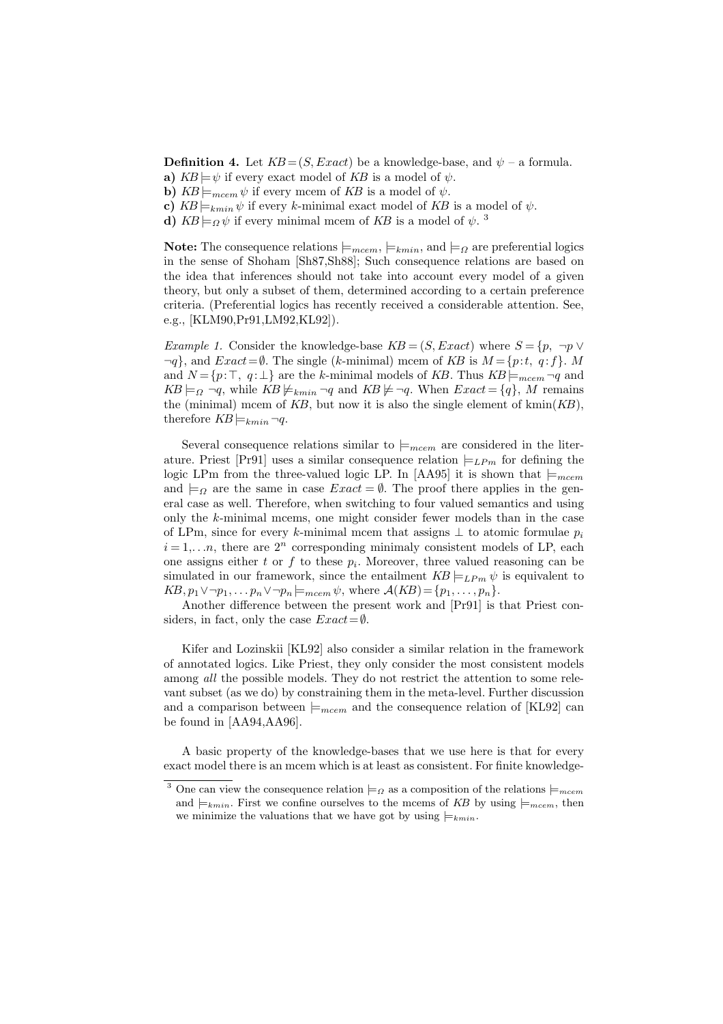**Definition 4.** Let  $KB = (S, Exact)$  be a knowledge-base, and  $\psi$  – a formula.

- a)  $KB \models \psi$  if every exact model of KB is a model of  $\psi$ .
- b)  $KB \models_{mcem} \psi$  if every mcem of KB is a model of  $\psi$ .
- c)  $KB \models_{kmin} \psi$  if every k-minimal exact model of KB is a model of  $\psi$ .
- d)  $KB \models_{\Omega} \psi$  if every minimal mcem of KB is a model of  $\psi$ .<sup>3</sup>

Note: The consequence relations  $\models_{mcem}, \models_{kmin}$ , and  $\models_{\Omega}$  are preferential logics in the sense of Shoham [Sh87,Sh88]; Such consequence relations are based on the idea that inferences should not take into account every model of a given theory, but only a subset of them, determined according to a certain preference criteria. (Preferential logics has recently received a considerable attention. See, e.g., [KLM90,Pr91,LM92,KL92]).

Example 1. Consider the knowledge-base  $KB = (S, Exact)$  where  $S = \{p, \neg p \vee p\}$  $\neg q$ , and  $Exact = \emptyset$ . The single (k-minimal) mcem of KB is  $M = \{p:t, q:f\}$ . M and  $N = \{p:\top, q:\bot\}$  are the k-minimal models of KB. Thus  $KB \models_{mcem} \neg q$  and  $KB \models_{\Omega} \neg q$ , while  $KB \not\models_{kmin} \neg q$  and  $KB \not\models \neg q$ . When  $Exact = \{q\}$ , M remains the (minimal) mcem of  $KB$ , but now it is also the single element of kmin $(KB)$ , therefore  $KB \models_{kmin} \neg q$ .

Several consequence relations similar to  $\models_{meem}$  are considered in the literature. Priest [Pr91] uses a similar consequence relation  $\models_{LPm}$  for defining the logic LPm from the three-valued logic LP. In [AA95] it is shown that  $\models_{mcem}$ and  $\models_{\Omega}$  are the same in case  $Exact = \emptyset$ . The proof there applies in the general case as well. Therefore, when switching to four valued semantics and using only the  $k$ -minimal mcems, one might consider fewer models than in the case of LPm, since for every k-minimal mcem that assigns  $\perp$  to atomic formulae  $p_i$  $i = 1, \ldots n$ , there are  $2^n$  corresponding minimaly consistent models of LP, each one assigns either  $t$  or  $f$  to these  $p_i$ . Moreover, three valued reasoning can be simulated in our framework, since the entailment  $KB \models_L P_m \psi$  is equivalent to  $KB, p_1 \vee \neg p_1, \ldots, p_n \vee \neg p_n \models_{meem} \psi$ , where  $\mathcal{A}(KB) = \{p_1, \ldots, p_n\}.$ 

Another difference between the present work and [Pr91] is that Priest considers, in fact, only the case  $Exact = ∅$ .

Kifer and Lozinskii [KL92] also consider a similar relation in the framework of annotated logics. Like Priest, they only consider the most consistent models among *all* the possible models. They do not restrict the attention to some relevant subset (as we do) by constraining them in the meta-level. Further discussion and a comparison between  $\models_{meem}$  and the consequence relation of [KL92] can be found in [AA94,AA96].

A basic property of the knowledge-bases that we use here is that for every exact model there is an mcem which is at least as consistent. For finite knowledge-

<sup>&</sup>lt;sup>3</sup> One can view the consequence relation  $\models \Omega$  as a composition of the relations  $\models_{mcem}$ and  $\models_{kmin}$ . First we confine ourselves to the mcems of KB by using  $\models_{mcem}$ , then we minimize the valuations that we have got by using  $\models_{kmin}$ .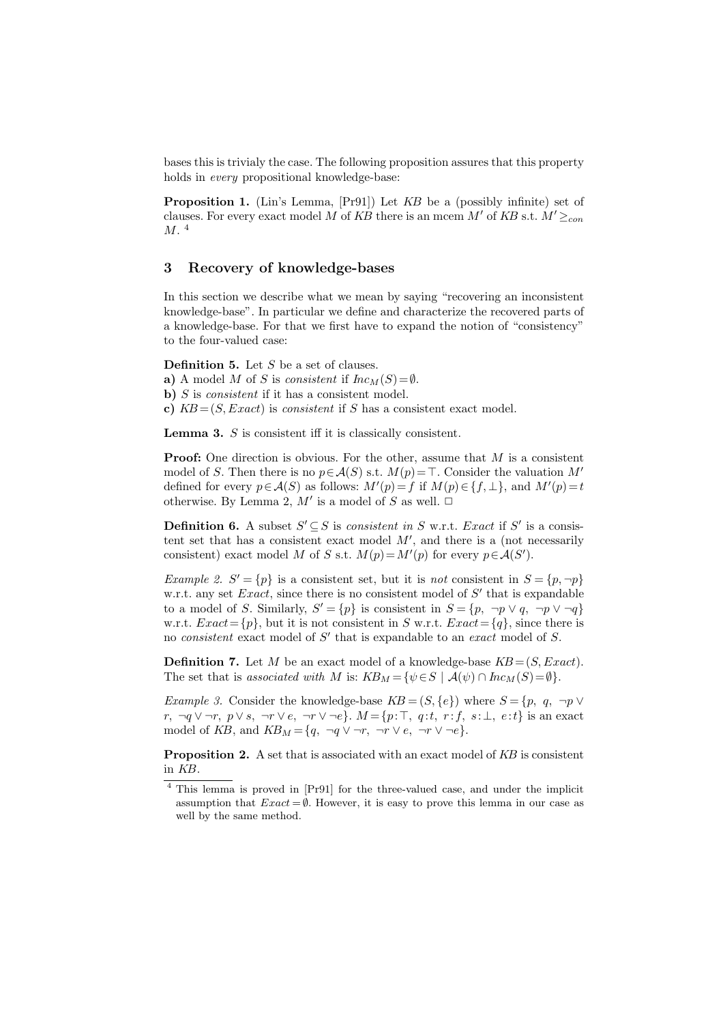bases this is trivialy the case. The following proposition assures that this property holds in every propositional knowledge-base:

Proposition 1. (Lin's Lemma, [Pr91]) Let KB be a (possibly infinite) set of clauses. For every exact model M of KB there is an mcem M' of KB s.t.  $M' \geq_{con}$ M.<sup>4</sup>

# 3 Recovery of knowledge-bases

In this section we describe what we mean by saying "recovering an inconsistent knowledge-base". In particular we define and characterize the recovered parts of a knowledge-base. For that we first have to expand the notion of "consistency" to the four-valued case:

**Definition 5.** Let  $S$  be a set of clauses.

a) A model M of S is consistent if  $Inc_M(S) = \emptyset$ .

b) S is *consistent* if it has a consistent model.

c)  $KB = (S, Exact)$  is consistent if S has a consistent exact model.

Lemma 3. S is consistent iff it is classically consistent.

**Proof:** One direction is obvious. For the other, assume that  $M$  is a consistent model of S. Then there is no  $p \in \mathcal{A}(S)$  s.t.  $M(p)=\top$ . Consider the valuation M' defined for every  $p \in \mathcal{A}(S)$  as follows:  $M'(p) = f$  if  $M(p) \in \{f, \perp\}$ , and  $M'(p) = t$ otherwise. By Lemma 2,  $M'$  is a model of S as well.  $\Box$ 

**Definition 6.** A subset  $S' \subseteq S$  is consistent in S w.r.t. Exact if S' is a consistent set that has a consistent exact model  $M'$ , and there is a (not necessarily consistent) exact model M of S s.t.  $M(p) = M'(p)$  for every  $p \in \mathcal{A}(S')$ .

*Example 2.*  $S' = \{p\}$  is a consistent set, but it is not consistent in  $S = \{p, \neg p\}$ w.r.t. any set *Exact*, since there is no consistent model of  $S'$  that is expandable to a model of S. Similarly,  $S' = \{p\}$  is consistent in  $S = \{p, \neg p \lor q, \neg p \lor \neg q\}$ w.r.t.  $Exact = \{p\}$ , but it is not consistent in S w.r.t.  $Exact = \{q\}$ , since there is no *consistent* exact model of  $S'$  that is expandable to an *exact* model of  $S$ .

**Definition 7.** Let M be an exact model of a knowledge-base  $KB = (S, Exact)$ . The set that is associated with M is:  $KB_M = \{ \psi \in S \mid A(\psi) \cap Inc_M(S) = \emptyset \}.$ 

Example 3. Consider the knowledge-base  $KB = (S, \{e\})$  where  $S = \{p, q, \neg p \vee$ r,  $\neg q \vee \neg r$ ,  $p \vee s$ ,  $\neg r \vee e$ ,  $\neg r \vee \neg e$ .  $M = \{p : \top, q : t, r : f, s : \bot, e : t\}$  is an exact model of KB, and  $KB_M = \{q, \neg q \lor \neg r, \neg r \lor e, \neg r \lor \neg e\}.$ 

Proposition 2. A set that is associated with an exact model of KB is consistent in KB.

<sup>4</sup> This lemma is proved in [Pr91] for the three-valued case, and under the implicit assumption that  $Exact = \emptyset$ . However, it is easy to prove this lemma in our case as well by the same method.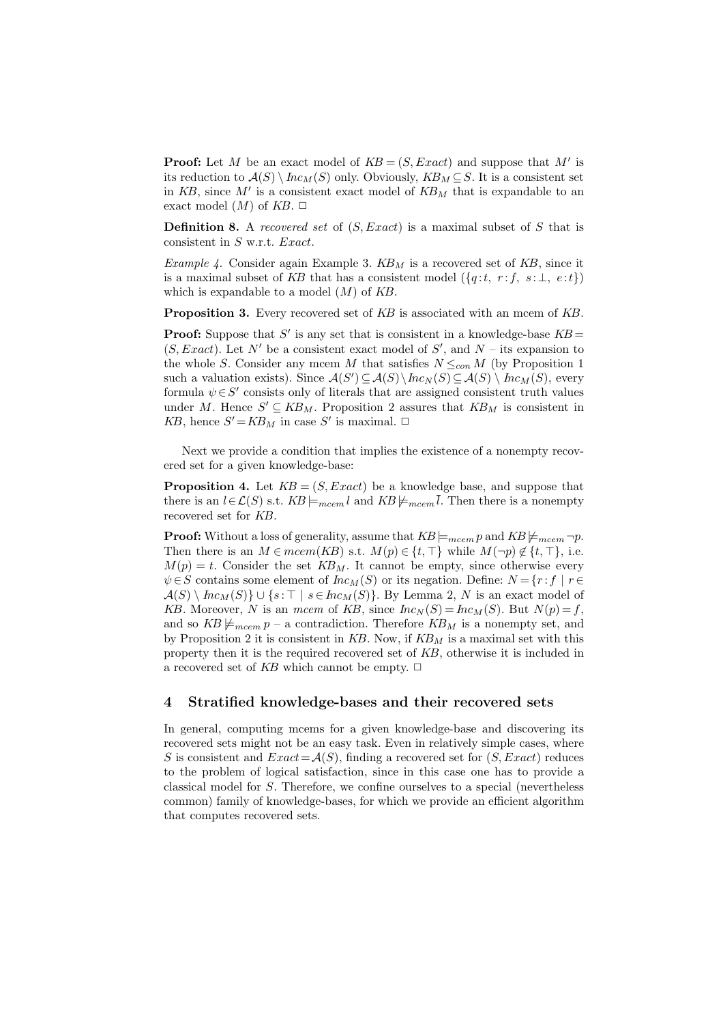**Proof:** Let M be an exact model of  $KB = (S, Exact)$  and suppose that M' is its reduction to  $\mathcal{A}(S) \setminus \text{Inc}_M(S)$  only. Obviously,  $KB_M \subseteq S$ . It is a consistent set in  $KB$ , since M' is a consistent exact model of  $KB_M$  that is expandable to an exact model  $(M)$  of  $KB$ .  $\Box$ 

**Definition 8.** A recovered set of  $(S, Exact)$  is a maximal subset of S that is consistent in S w.r.t. Exact.

Example 4. Consider again Example 3.  $KB_M$  is a recovered set of  $KB$ , since it is a maximal subset of KB that has a consistent model  $({q : t, r : f, s : \bot, e : t})$ which is expandable to a model  $(M)$  of  $KB$ .

**Proposition 3.** Every recovered set of KB is associated with an mcem of KB.

**Proof:** Suppose that S' is any set that is consistent in a knowledge-base  $KB =$  $(S, Exact)$ . Let N' be a consistent exact model of S', and N – its expansion to the whole S. Consider any mcem M that satisfies  $N \leq_{con} M$  (by Proposition 1 such a valuation exists). Since  $\mathcal{A}(S') \subseteq \mathcal{A}(S) \setminus Inc_N(S) \subseteq \mathcal{A}(S) \setminus Inc_M(S)$ , every formula  $\psi \in S'$  consists only of literals that are assigned consistent truth values under M. Hence  $S' \subseteq KB_M$ . Proposition 2 assures that  $KB_M$  is consistent in KB, hence  $S' = KB_M$  in case S' is maximal.  $\Box$ 

Next we provide a condition that implies the existence of a nonempty recovered set for a given knowledge-base:

**Proposition 4.** Let  $KB = (S, Exact)$  be a knowledge base, and suppose that there is an  $l \in \mathcal{L}(S)$  s.t.  $KB \models_{mcem} l$  and  $KB \not\models_{mcem} \overline{l}$ . Then there is a nonempty recovered set for KB.

**Proof:** Without a loss of generality, assume that  $KB \models_{mcem} p$  and  $KB \not\models_{mcem} \neg p$ . Then there is an  $M \in meem(KB)$  s.t.  $M(p) \in \{t, \top\}$  while  $M(\neg p) \notin \{t, \top\}$ , i.e.  $M(p) = t$ . Consider the set  $KB_M$ . It cannot be empty, since otherwise every  $\psi \in S$  contains some element of  $Inc_M(S)$  or its negation. Define:  $N = \{r : f | r \in$  $\mathcal{A}(S) \setminus \text{Inc}_M(S) \cup \{s : \top \mid s \in \text{Inc}_M(S)\}.$  By Lemma 2, N is an exact model of KB. Moreover, N is an mcem of KB, since  $Inc_N(S) = Inc_M(S)$ . But  $N(p) = f$ , and so  $KB \not\models_{meem} p$  – a contradiction. Therefore  $KB_M$  is a nonempty set, and by Proposition 2 it is consistent in  $KB$ . Now, if  $KB<sub>M</sub>$  is a maximal set with this property then it is the required recovered set of KB, otherwise it is included in a recovered set of KB which cannot be empty.  $\Box$ 

### 4 Stratified knowledge-bases and their recovered sets

In general, computing mcems for a given knowledge-base and discovering its recovered sets might not be an easy task. Even in relatively simple cases, where S is consistent and  $Exact = \mathcal{A}(S)$ , finding a recovered set for  $(S, Exact)$  reduces to the problem of logical satisfaction, since in this case one has to provide a classical model for S. Therefore, we confine ourselves to a special (nevertheless common) family of knowledge-bases, for which we provide an efficient algorithm that computes recovered sets.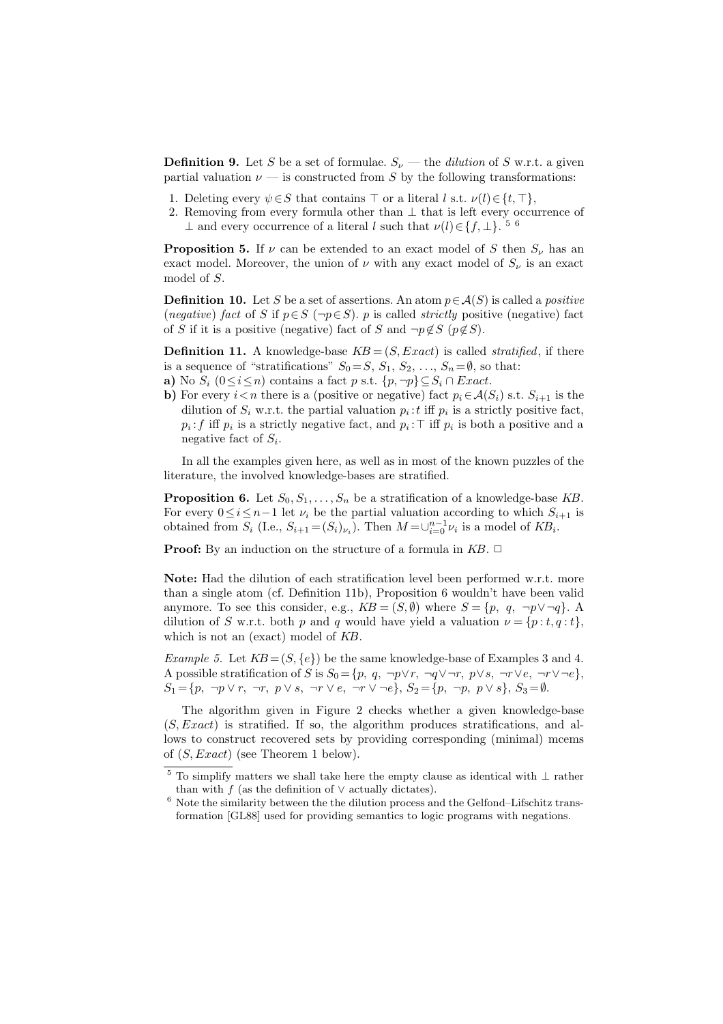**Definition 9.** Let S be a set of formulae.  $S_{\nu}$  — the *dilution* of S w.r.t. a given partial valuation  $\nu$  — is constructed from S by the following transformations:

- 1. Deleting every  $\psi \in S$  that contains  $\top$  or a literal l s.t.  $\nu(l) \in \{t, \top\},$
- 2. Removing from every formula other than ⊥ that is left every occurrence of ⊥ and every occurrence of a literal l such that  $\nu(l) \in \{f, \perp\}$ .<sup>56</sup>

**Proposition 5.** If  $\nu$  can be extended to an exact model of S then  $S_{\nu}$  has an exact model. Moreover, the union of  $\nu$  with any exact model of  $S_{\nu}$  is an exact model of S.

**Definition 10.** Let S be a set of assertions. An atom  $p \in \mathcal{A}(S)$  is called a *positive* (negative) fact of S if  $p \in S$  ( $\neg p \in S$ ). p is called *strictly* positive (negative) fact of S if it is a positive (negative) fact of S and  $\neg p \notin S$  ( $p \notin S$ ).

**Definition 11.** A knowledge-base  $KB = (S, Exact)$  is called *stratified*, if there is a sequence of "stratifications"  $S_0 = S, S_1, S_2, \ldots, S_n = \emptyset$ , so that:

- a) No  $S_i$   $(0 \le i \le n)$  contains a fact p s.t.  $\{p, \neg p\} \subseteq S_i \cap Exact$ .
- b) For every  $i < n$  there is a (positive or negative) fact  $p_i \in \mathcal{A}(S_i)$  s.t.  $S_{i+1}$  is the dilution of  $S_i$  w.r.t. the partial valuation  $p_i$ : t iff  $p_i$  is a strictly positive fact,  $p_i$ : f iff  $p_i$  is a strictly negative fact, and  $p_i$ :  $\top$  iff  $p_i$  is both a positive and a negative fact of  $S_i$ .

In all the examples given here, as well as in most of the known puzzles of the literature, the involved knowledge-bases are stratified.

**Proposition 6.** Let  $S_0, S_1, \ldots, S_n$  be a stratification of a knowledge-base KB. For every  $0 \leq i \leq n-1$  let  $\nu_i$  be the partial valuation according to which  $S_{i+1}$  is obtained from  $S_i$  (I.e.,  $S_{i+1} = (S_i)_{\nu_i}$ ). Then  $M = \cup_{i=0}^{n-1} \nu_i$  is a model of  $KB_i$ .

**Proof:** By an induction on the structure of a formula in  $KB$ .  $\Box$ 

Note: Had the dilution of each stratification level been performed w.r.t. more than a single atom (cf. Definition 11b), Proposition 6 wouldn't have been valid anymore. To see this consider, e.g.,  $KB = (S, \emptyset)$  where  $S = \{p, q, \neg p \lor \neg q\}$ . A dilution of S w.r.t. both p and q would have yield a valuation  $\nu = \{p : t, q : t\},\$ which is not an (exact) model of KB.

Example 5. Let  $KB = (S, \{e\})$  be the same knowledge-base of Examples 3 and 4. A possible stratification of S is  $S_0 = \{p, q, \neg p \lor r, \neg q \lor \neg r, p \lor s, \neg r \lor e, \neg r \lor \neg e\},\$  $S_1 = \{p, \neg p \lor r, \neg r, p \lor s, \neg r \lor e, \neg r \lor \neg e\}, S_2 = \{p, \neg p, p \lor s\}, S_3 = \emptyset.$ 

The algorithm given in Figure 2 checks whether a given knowledge-base  $(S, Exact)$  is stratified. If so, the algorithm produces stratifications, and allows to construct recovered sets by providing corresponding (minimal) mcems of  $(S, Exact)$  (see Theorem 1 below).

 $^5$  To simplify matters we shall take here the empty clause as identical with  $\perp$  rather than with  $f$  (as the definition of  $\vee$  actually dictates).

 $6$  Note the similarity between the the dilution process and the Gelfond–Lifschitz transformation [GL88] used for providing semantics to logic programs with negations.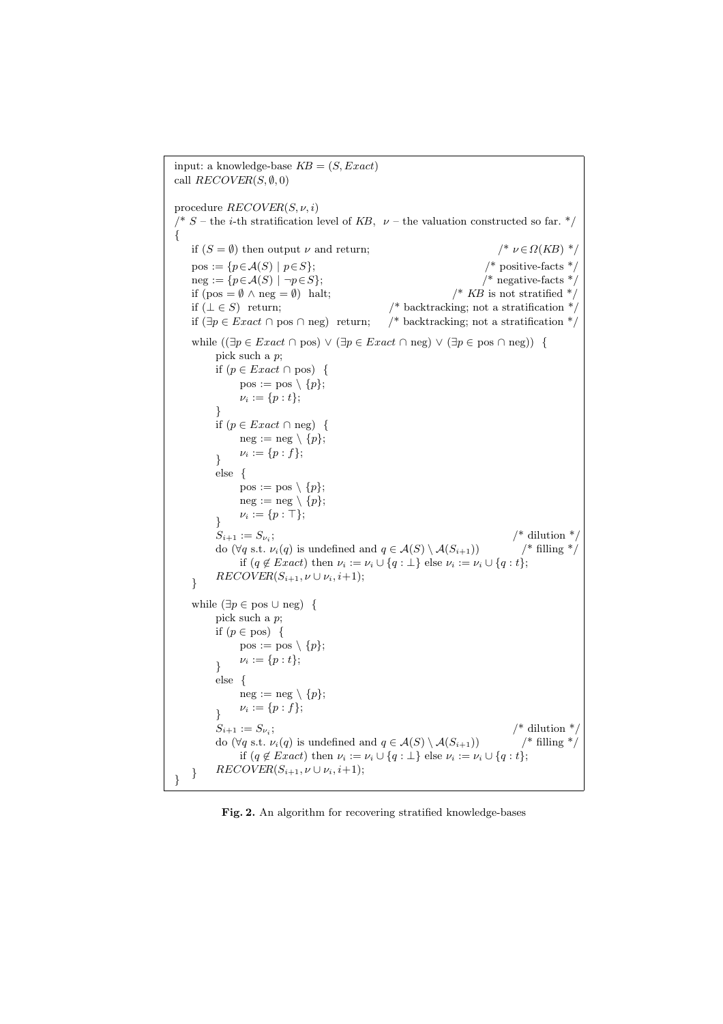input: a knowledge-base  $KB = (S, Exact)$ call  $RECOVER(S, \emptyset, 0)$ procedure  $RECOVER(S, \nu, i)$ /\* S – the *i*-th stratification level of KB,  $\nu$  – the valuation constructed so far. \*/ { if  $(S = \emptyset)$  then output  $\nu$  and return;  $/^* \nu \in \Omega(KB)$  \*/  $pos := \{p \in \mathcal{A}(S) \mid p \in S\};$  /\* positive-facts \*/  $neg := \{p \in \mathcal{A}(S) \mid \neg p \in S\};\$  /\* negative-facts \*/ if  $(pos = \emptyset \land neg = \emptyset)$  halt;  $/$  KB is not stratified \*/ if  $(⊥ ∈ S)$  return;  $/*$  backtracking; not a stratification  $*$ if  $(\exists p \in Exact \cap pos \cap neg)$  return; /\* backtracking; not a stratification \*/ while  $(\exists p \in Exact \cap pos) \lor (\exists p \in Exact \cap neg) \lor (\exists p \in pos \cap neg))$  { pick such a p; if  $(p \in Exact \cap pos)$  {  $pos := pos \setminus \{p\};$  $\nu_i := \{p : t\};$ } if (p ∈ Exact ∩ neg) {  $neg := neg \setminus \{p\};$  $\nu_i := \{p : f\};$ } else {  $pos := pos \setminus \{p\};$  $neg := neg \setminus \{p\};$  $\nu_i := \{p : \top\};$ }  $S_{i+1} := S_{\nu_i};$ /\* dilution  $*$ do ( $\forall q$  s.t.  $\nu_i(q)$  is undefined and  $q \in \mathcal{A}(S) \setminus \mathcal{A}(S_{i+1})$  /\* filling \*/ if  $(q \notin Exact)$  then  $\nu_i := \nu_i \cup \{q : \bot\}$  else  $\nu_i := \nu_i \cup \{q : t\};$  $RECOVER(S_{i+1}, \nu \cup \nu_i, i+1);$ while  $(\exists p \in \text{pos} \cup \text{neg})$  { pick such a p; if  $(p \in pos)$  {  $pos := pos \setminus \{p\};$  $\nu_i := \{p : t\};$ } else {  $neg := neg \setminus \{p\};$  $\nu_i := \{p : f\};$ }  $S_{i+1} := S_{\nu_i};$  $/*$  dilution  $*$ do ( $\forall q$  s.t.  $\nu_i(q)$  is undefined and  $q \in \mathcal{A}(S) \setminus \mathcal{A}(S_{i+1})$  /\* filling \*/ if  $(q \notin Exact)$  then  $\nu_i := \nu_i \cup \{q : \bot\}$  else  $\nu_i := \nu_i \cup \{q : t\};$  $BECOVER(S_{i+1}, \nu \cup \nu_i, i+1);$ }

Fig. 2. An algorithm for recovering stratified knowledge-bases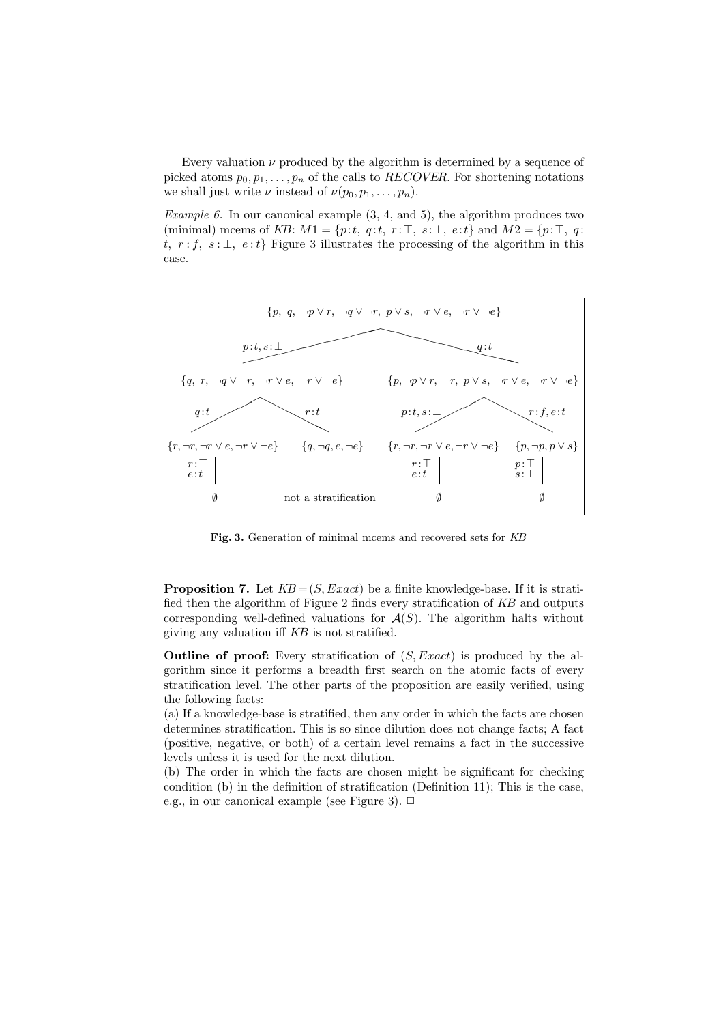Every valuation  $\nu$  produced by the algorithm is determined by a sequence of picked atoms  $p_0, p_1, \ldots, p_n$  of the calls to *RECOVER*. For shortening notations we shall just write  $\nu$  instead of  $\nu(p_0, p_1, \ldots, p_n)$ .

Example 6. In our canonical example  $(3, 4, \text{ and } 5)$ , the algorithm produces two (minimal) mcems of KB:  $M1 = \{p:t, q:t, r:\top, s:\bot, e:t\}$  and  $M2 = \{p:\top, q:\top, q:t, s:t\}$ t,  $r : f$ ,  $s : \bot$ ,  $e : t$ } Figure 3 illustrates the processing of the algorithm in this case.



Fig. 3. Generation of minimal mcems and recovered sets for KB

**Proposition 7.** Let  $KB = (S, Exact)$  be a finite knowledge-base. If it is stratified then the algorithm of Figure 2 finds every stratification of KB and outputs corresponding well-defined valuations for  $A(S)$ . The algorithm halts without giving any valuation iff KB is not stratified.

**Outline of proof:** Every stratification of  $(S, Exact)$  is produced by the algorithm since it performs a breadth first search on the atomic facts of every stratification level. The other parts of the proposition are easily verified, using the following facts:

(a) If a knowledge-base is stratified, then any order in which the facts are chosen determines stratification. This is so since dilution does not change facts; A fact (positive, negative, or both) of a certain level remains a fact in the successive levels unless it is used for the next dilution.

(b) The order in which the facts are chosen might be significant for checking condition (b) in the definition of stratification (Definition 11); This is the case, e.g., in our canonical example (see Figure 3).  $\Box$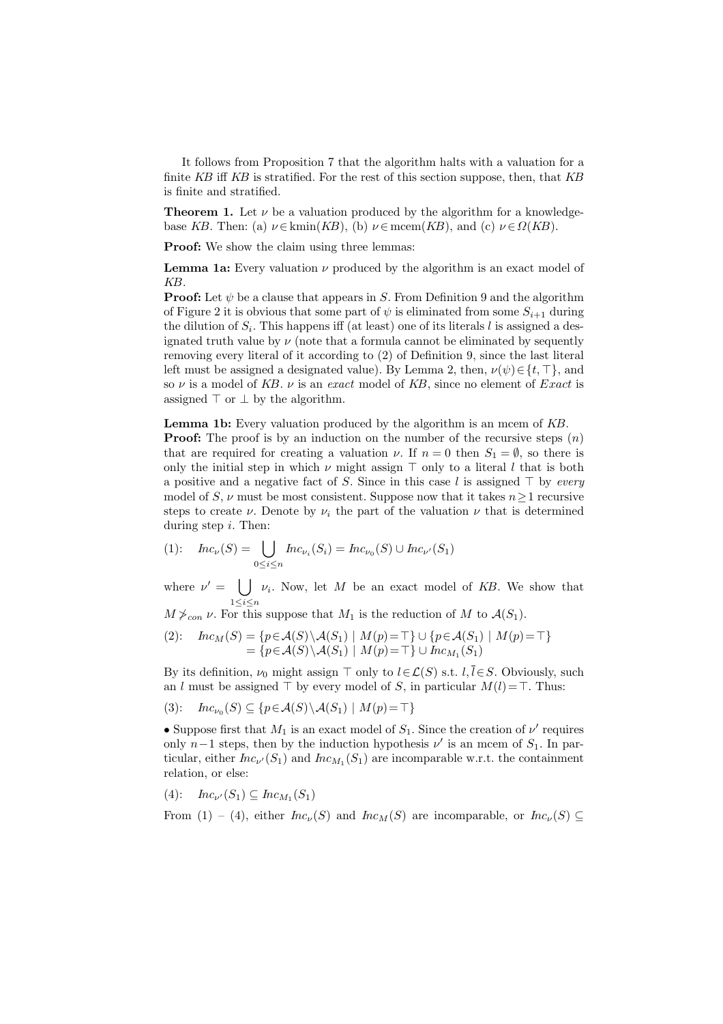It follows from Proposition 7 that the algorithm halts with a valuation for a finite  $KB$  iff  $KB$  is stratified. For the rest of this section suppose, then, that  $KB$ is finite and stratified.

**Theorem 1.** Let  $\nu$  be a valuation produced by the algorithm for a knowledgebase KB. Then: (a)  $\nu \in \text{kmin}(KB)$ , (b)  $\nu \in \text{mees}(KB)$ , and (c)  $\nu \in \Omega(KB)$ .

Proof: We show the claim using three lemmas:

**Lemma 1a:** Every valuation  $\nu$  produced by the algorithm is an exact model of KB.

**Proof:** Let  $\psi$  be a clause that appears in S. From Definition 9 and the algorithm of Figure 2 it is obvious that some part of  $\psi$  is eliminated from some  $S_{i+1}$  during the dilution of  $S_i$ . This happens iff (at least) one of its literals l is assigned a designated truth value by  $\nu$  (note that a formula cannot be eliminated by sequently removing every literal of it according to (2) of Definition 9, since the last literal left must be assigned a designated value). By Lemma 2, then,  $\nu(\psi) \in \{t, \top\}$ , and so  $\nu$  is a model of KB.  $\nu$  is an exact model of KB, since no element of Exact is assigned  $\top$  or  $\bot$  by the algorithm.

Lemma 1b: Every valuation produced by the algorithm is an mcem of KB.

**Proof:** The proof is by an induction on the number of the recursive steps  $(n)$ that are required for creating a valuation  $\nu$ . If  $n = 0$  then  $S_1 = \emptyset$ , so there is only the initial step in which  $\nu$  might assign  $\top$  only to a literal l that is both a positive and a negative fact of S. Since in this case l is assigned  $\top$  by every model of S,  $\nu$  must be most consistent. Suppose now that it takes  $n \geq 1$  recursive steps to create  $\nu$ . Denote by  $\nu_i$  the part of the valuation  $\nu$  that is determined during step  $i$ . Then:

(1): 
$$
Inc_{\nu}(S) = \bigcup_{0 \le i \le n} Inc_{\nu_i}(S_i) = Inc_{\nu_0}(S) \cup Inc_{\nu'}(S_1)
$$

where  $\nu' = | \ \ |$  $1 \leq i \leq n$  $\nu_i$ . Now, let M be an exact model of KB. We show that

 $M \nless_{con} \nu$ . For this suppose that  $M_1$  is the reduction of M to  $\mathcal{A}(S_1)$ .

(2): 
$$
hc_M(S) = \{p \in \mathcal{A}(S) \setminus \mathcal{A}(S_1) \mid M(p) = \top\} \cup \{p \in \mathcal{A}(S_1) \mid M(p) = \top\}
$$

$$
= \{p \in \mathcal{A}(S) \setminus \mathcal{A}(S_1) \mid M(p) = \top\} \cup Inc_{M_1}(S_1)
$$

By its definition,  $\nu_0$  might assign  $\top$  only to  $l \in \mathcal{L}(S)$  s.t.  $l, \overline{l} \in S$ . Obviously, such an l must be assigned  $\top$  by every model of S, in particular  $M(l) = \top$ . Thus:

$$
(3): \quad Inc_{\nu_0}(S) \subseteq \{p \in \mathcal{A}(S) \setminus \mathcal{A}(S_1) \mid M(p) = \top\}
$$

• Suppose first that  $M_1$  is an exact model of  $S_1$ . Since the creation of  $\nu'$  requires only  $n-1$  steps, then by the induction hypothesis  $\nu'$  is an mcem of  $S_1$ . In particular, either  $Inc_{\nu'}(S_1)$  and  $Inc_{M_1}(S_1)$  are incomparable w.r.t. the containment relation, or else:

$$
(4): \quad \text{Inc}_{\nu'}(S_1) \subseteq \text{Inc}_{M_1}(S_1)
$$

From (1) – (4), either  $Inc_{\nu}(S)$  and  $Inc_M(S)$  are incomparable, or  $Inc_{\nu}(S) \subseteq$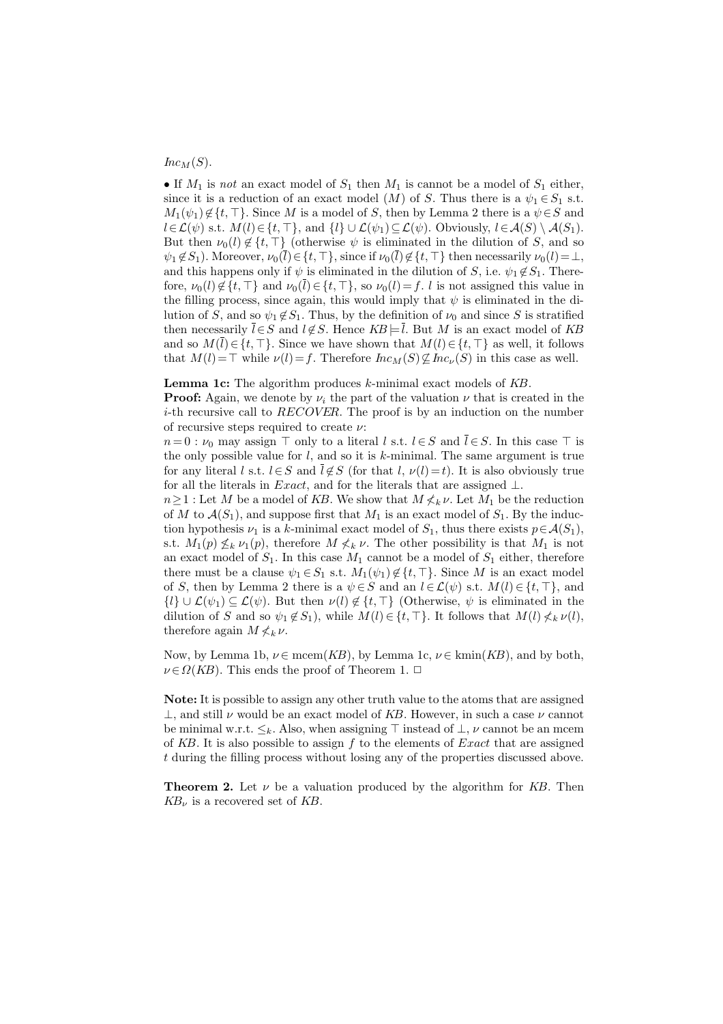$Inc_M(S)$ .

• If  $M_1$  is not an exact model of  $S_1$  then  $M_1$  is cannot be a model of  $S_1$  either, since it is a reduction of an exact model  $(M)$  of S. Thus there is a  $\psi_1 \in S_1$  s.t.  $M_1(\psi_1) \notin \{t, \top\}$ . Since M is a model of S, then by Lemma 2 there is a  $\psi \in S$  and  $l\in\mathcal{L}(\psi)$  s.t.  $M(l)\in\{t, \top\}$ , and  $\{l\}\cup\mathcal{L}(\psi_1)\subseteq\mathcal{L}(\psi)$ . Obviously,  $l\in\mathcal{A}(S)\setminus\mathcal{A}(S_1)$ . But then  $\nu_0(l) \notin \{t, \top\}$  (otherwise  $\psi$  is eliminated in the dilution of S, and so  $\psi_1 \notin S_1$ ). Moreover,  $\nu_0(\overline{l}) \in \{t, \top\}$ , since if  $\nu_0(\overline{l}) \notin \{t, \top\}$  then necessarily  $\nu_0(l) = \bot$ , and this happens only if  $\psi$  is eliminated in the dilution of S, i.e.  $\psi_1 \notin S_1$ . Therefore,  $\nu_0(l) \notin \{t, \top\}$  and  $\nu_0(\overline{l}) \in \{t, \top\}$ , so  $\nu_0(l) = f$ . l is not assigned this value in the filling process, since again, this would imply that  $\psi$  is eliminated in the dilution of S, and so  $\psi_1 \notin S_1$ . Thus, by the definition of  $\nu_0$  and since S is stratified then necessarily  $\overline{l} \in S$  and  $l \notin S$ . Hence  $KB \models \overline{l}$ . But M is an exact model of KB and so  $M(l) \in \{t, \top\}$ . Since we have shown that  $M(l) \in \{t, \top\}$  as well, it follows that  $M(l) = \top$  while  $\nu(l) = f$ . Therefore  $Inc_M(S) \not\subseteq Inc_V(S)$  in this case as well.

**Lemma 1c:** The algorithm produces  $k$ -minimal exact models of  $KB$ .

**Proof:** Again, we denote by  $\nu_i$  the part of the valuation  $\nu$  that is created in the *i*-th recursive call to RECOVER. The proof is by an induction on the number of recursive steps required to create  $\nu$ :

 $n=0$ :  $\nu_0$  may assign  $\top$  only to a literal l s.t.  $l \in S$  and  $\overline{l} \in S$ . In this case  $\top$  is the only possible value for  $l$ , and so it is  $k$ -minimal. The same argument is true for any literal l s.t.  $l \in S$  and  $\overline{l} \notin S$  (for that l,  $\nu(l) = t$ ). It is also obviously true for all the literals in *Exact*, and for the literals that are assigned  $\bot$ .

 $n\geq 1$ : Let M be a model of KB. We show that  $M \nleq_k \nu$ . Let  $M_1$  be the reduction of M to  $\mathcal{A}(S_1)$ , and suppose first that  $M_1$  is an exact model of  $S_1$ . By the induction hypothesis  $\nu_1$  is a k-minimal exact model of  $S_1$ , thus there exists  $p \in \mathcal{A}(S_1)$ , s.t.  $M_1(p) \nleq_k \nu_1(p)$ , therefore  $M \nleq_k \nu$ . The other possibility is that  $M_1$  is not an exact model of  $S_1$ . In this case  $M_1$  cannot be a model of  $S_1$  either, therefore there must be a clause  $\psi_1 \in S_1$  s.t.  $M_1(\psi_1) \notin \{t, \top\}$ . Since M is an exact model of S, then by Lemma 2 there is a  $\psi \in S$  and an  $l \in \mathcal{L}(\psi)$  s.t.  $M(l) \in \{t, \top\}$ , and  $\{l\} \cup \mathcal{L}(\psi_1) \subseteq \mathcal{L}(\psi)$ . But then  $\nu(l) \notin \{t, \top\}$  (Otherwise,  $\psi$  is eliminated in the dilution of S and so  $\psi_1 \notin S_1$ , while  $M(l) \in \{t, \top\}$ . It follows that  $M(l) \nleq k \nu(l)$ , therefore again  $M \nless k \nu$ .

Now, by Lemma 1b,  $\nu \in \text{mcem}(KB)$ , by Lemma 1c,  $\nu \in \text{kmin}(KB)$ , and by both,  $\nu \in \Omega(KB)$ . This ends the proof of Theorem 1.  $\Box$ 

Note: It is possible to assign any other truth value to the atoms that are assigned  $\perp$ , and still  $\nu$  would be an exact model of KB. However, in such a case  $\nu$  cannot be minimal w.r.t.  $\leq_k$ . Also, when assigning  $\top$  instead of  $\bot$ ,  $\nu$  cannot be an mcem of KB. It is also possible to assign f to the elements of  $Exact$  that are assigned t during the filling process without losing any of the properties discussed above.

**Theorem 2.** Let  $\nu$  be a valuation produced by the algorithm for KB. Then  $KB_{\nu}$  is a recovered set of KB.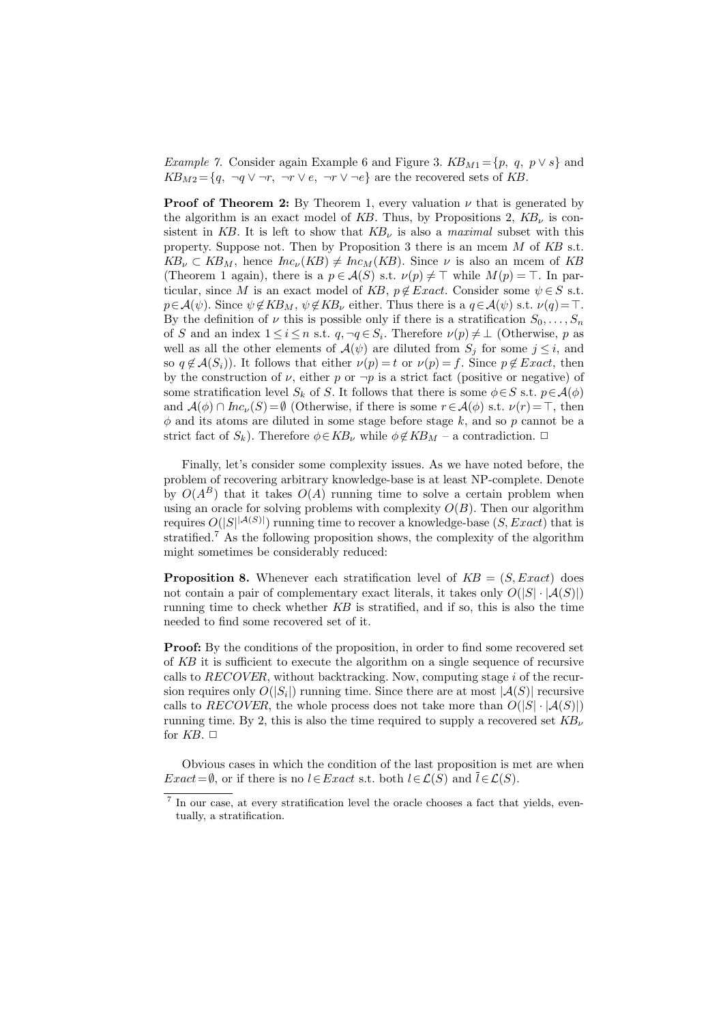Example 7. Consider again Example 6 and Figure 3.  $KB_{M1} = \{p, q, p \vee s\}$  and  $KB_{M2} = \{q, \neg q \lor \neg r, \neg r \lor e, \neg r \lor \neg e\}$  are the recovered sets of KB.

**Proof of Theorem 2:** By Theorem 1, every valuation  $\nu$  that is generated by the algorithm is an exact model of KB. Thus, by Propositions 2,  $KB<sub>\nu</sub>$  is consistent in KB. It is left to show that  $KB_{\nu}$  is also a *maximal* subset with this property. Suppose not. Then by Proposition 3 there is an mcem  $M$  of  $KB$  s.t.  $KB_{\nu} \subset KB_{M}$ , hence  $Inc_{\nu}(KB) \neq Inc_{M}(KB)$ . Since  $\nu$  is also an mcem of KB (Theorem 1 again), there is a  $p \in \mathcal{A}(S)$  s.t.  $\nu(p) \neq \top$  while  $M(p) = \top$ . In particular, since M is an exact model of KB,  $p \notin Exact$ . Consider some  $\psi \in S$  s.t.  $p \in \mathcal{A}(\psi)$ . Since  $\psi \notin KB_M$ ,  $\psi \notin KB_{\nu}$  either. Thus there is a  $q \in \mathcal{A}(\psi)$  s.t.  $\nu(q) = \top$ . By the definition of  $\nu$  this is possible only if there is a stratification  $S_0, \ldots, S_n$ of S and an index  $1 \leq i \leq n$  s.t.  $q, \neg q \in S_i$ . Therefore  $\nu(p) \neq \bot$  (Otherwise, p as well as all the other elements of  $\mathcal{A}(\psi)$  are diluted from  $S_j$  for some  $j \leq i$ , and so  $q \notin \mathcal{A}(S_i)$ ). It follows that either  $\nu(p) = t$  or  $\nu(p) = f$ . Since  $p \notin Exact$ , then by the construction of  $\nu$ , either p or  $\neg p$  is a strict fact (positive or negative) of some stratification level  $S_k$  of S. It follows that there is some  $\phi \in S$  s.t.  $p \in \mathcal{A}(\phi)$ and  $\mathcal{A}(\phi) \cap \text{Inc}_{\nu}(S) = \emptyset$  (Otherwise, if there is some  $r \in \mathcal{A}(\phi)$  s.t.  $\nu(r) = \top$ , then  $\phi$  and its atoms are diluted in some stage before stage k, and so p cannot be a strict fact of  $S_k$ ). Therefore  $\phi \in KB_\nu$  while  $\phi \notin KB_\mathcal{M}$  – a contradiction.  $\Box$ 

Finally, let's consider some complexity issues. As we have noted before, the problem of recovering arbitrary knowledge-base is at least NP-complete. Denote by  $O(A^B)$  that it takes  $O(A)$  running time to solve a certain problem when using an oracle for solving problems with complexity  $O(B)$ . Then our algorithm requires  $O(|S|^{|A(S)|})$  running time to recover a knowledge-base  $(S, Exact)$  that is stratified.<sup>7</sup> As the following proposition shows, the complexity of the algorithm might sometimes be considerably reduced:

**Proposition 8.** Whenever each stratification level of  $KB = (S, Exact)$  does not contain a pair of complementary exact literals, it takes only  $O(|S| \cdot |A(S)|)$ running time to check whether  $KB$  is stratified, and if so, this is also the time needed to find some recovered set of it.

**Proof:** By the conditions of the proposition, in order to find some recovered set of KB it is sufficient to execute the algorithm on a single sequence of recursive calls to  $RECOVER$ , without backtracking. Now, computing stage i of the recursion requires only  $O(|S_i|)$  running time. Since there are at most  $|\mathcal{A}(S)|$  recursive calls to RECOVER, the whole process does not take more than  $O(|S| \cdot |A(S)|)$ running time. By 2, this is also the time required to supply a recovered set  $KB_{\nu}$ for  $KB$ .  $\square$ 

Obvious cases in which the condition of the last proposition is met are when  $Exact = \emptyset$ , or if there is no  $l \in Exact$  s.t. both  $l \in \mathcal{L}(S)$  and  $\overline{l} \in \mathcal{L}(S)$ .

<sup>&</sup>lt;sup>7</sup> In our case, at every stratification level the oracle chooses a fact that yields, eventually, a stratification.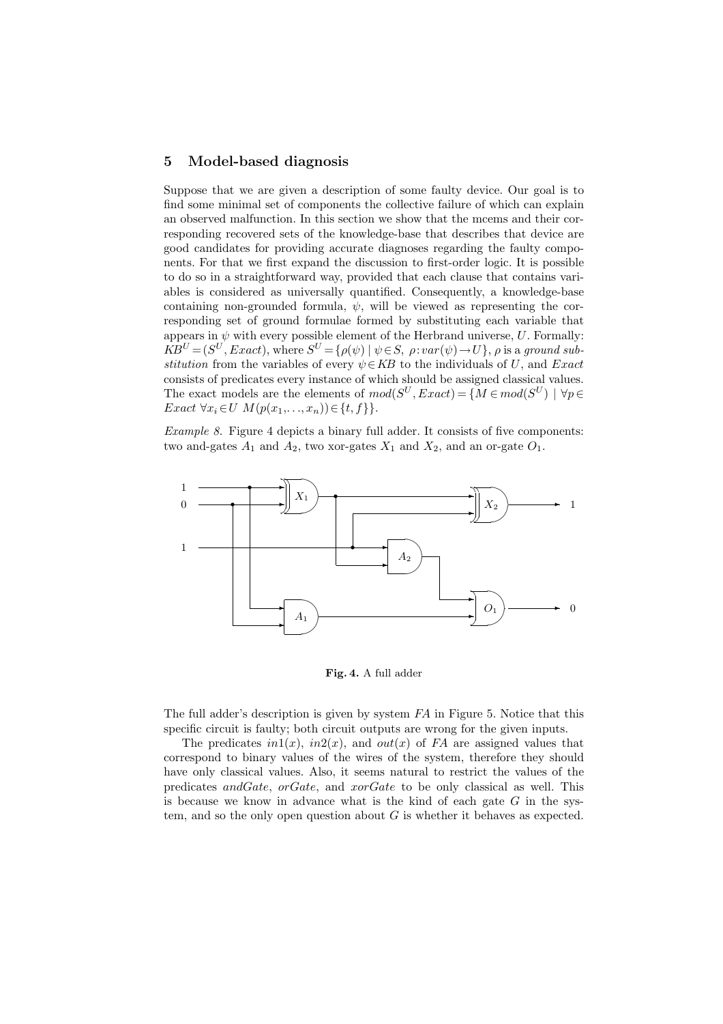#### 5 Model-based diagnosis

Suppose that we are given a description of some faulty device. Our goal is to find some minimal set of components the collective failure of which can explain an observed malfunction. In this section we show that the mcems and their corresponding recovered sets of the knowledge-base that describes that device are good candidates for providing accurate diagnoses regarding the faulty components. For that we first expand the discussion to first-order logic. It is possible to do so in a straightforward way, provided that each clause that contains variables is considered as universally quantified. Consequently, a knowledge-base containing non-grounded formula,  $\psi$ , will be viewed as representing the corresponding set of ground formulae formed by substituting each variable that appears in  $\psi$  with every possible element of the Herbrand universe,  $U$ . Formally:  $KB^U = (S^U, Exact)$ , where  $S^U = \{ \rho(\psi) \mid \psi \in S, \ \rho : var(\psi) \to U \}$ ,  $\rho$  is a ground substitution from the variables of every  $\psi \in KB$  to the individuals of U, and Exact consists of predicates every instance of which should be assigned classical values. The exact models are the elements of  $mod(S^U, Exact) = \{M \in mod(S^U) \mid \forall p \in$ Exact  $\forall x_i \in U \ M(p(x_1, \ldots, x_n)) \in \{t, f\}\}.$ 

Example 8. Figure 4 depicts a binary full adder. It consists of five components: two and-gates  $A_1$  and  $A_2$ , two xor-gates  $X_1$  and  $X_2$ , and an or-gate  $O_1$ .



Fig. 4. A full adder

The full adder's description is given by system FA in Figure 5. Notice that this specific circuit is faulty; both circuit outputs are wrong for the given inputs.

The predicates  $in1(x)$ ,  $in2(x)$ , and  $out(x)$  of FA are assigned values that correspond to binary values of the wires of the system, therefore they should have only classical values. Also, it seems natural to restrict the values of the predicates andGate, orGate, and xorGate to be only classical as well. This is because we know in advance what is the kind of each gate  $G$  in the system, and so the only open question about  $G$  is whether it behaves as expected.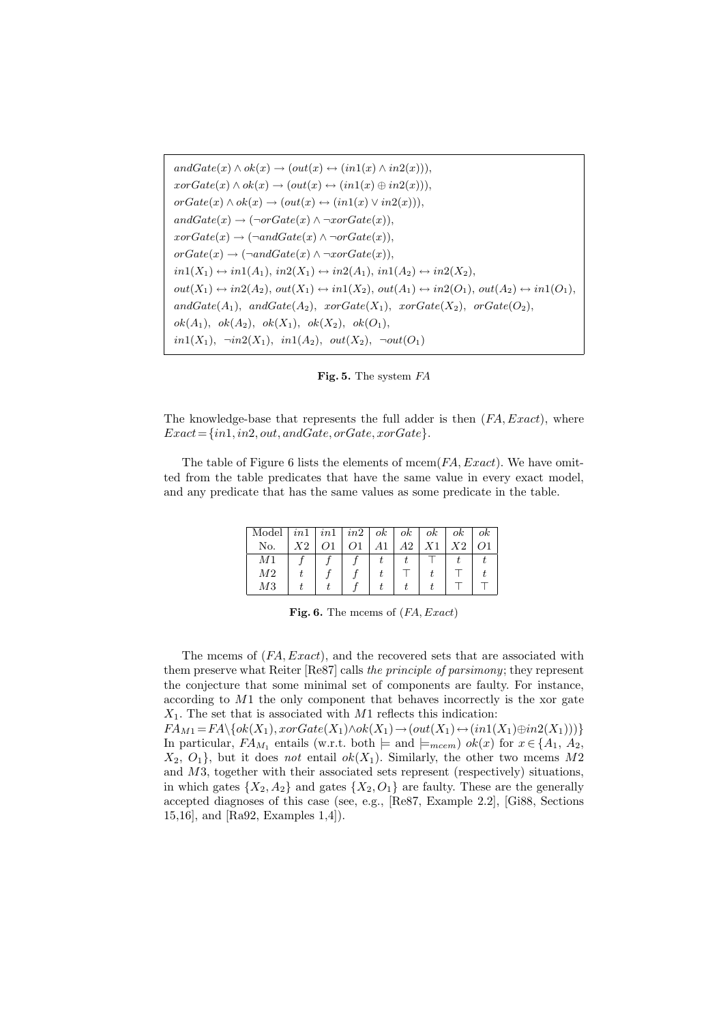$andGate(x) \wedge ok(x) \rightarrow (out(x) \leftrightarrow (in1(x) \wedge in2(x))).$  $x \circ \text{c} = \text{c} = \text{c} \circ \text{c} = \text{c} \circ \text{c} = \text{c} \circ \text{c} = \text{c} \circ \text{c} = \text{c} \circ \text{c} = \text{c} \circ \text{c} = \text{c} \circ \text{c} = \text{c} \circ \text{c} = \text{c} \circ \text{c} = \text{c} \circ \text{c} = \text{c} \circ \text{c} = \text{c} \circ \text{c} = \text{c} \circ \text{c} = \text{c} \circ \text{c} = \text{c} \circ \text{c} = \text{c} \circ \text{$  $orGate(x) \wedge ok(x) \rightarrow (out(x) \leftrightarrow (in1(x) \vee in2(x))),$  $andGate(x) \rightarrow (\neg orGate(x) \land \neg x orGate(x)),$  $x \circ \text{c} = \text{c} \rightarrow (\neg \text{andGate}(x) \land \neg \text{c} = \text{c} \land \text{c} = \text{c} \land \text{c} = \text{c} \land \text{c} = \text{c} \land \text{c} = \text{c} \land \text{c} = \text{c} \land \text{c} = \text{c} \land \text{c} = \text{c} \land \text{c} = \text{c} \land \text{c} = \text{c} \land \text{c} = \text{c} \land \text{c} = \text{c} \land \text{c} = \text{c} \land \text{c} = \text{c} \land \text{c} = \text$  $orGate(x) \rightarrow (\neg andGate(x) \wedge \neg x or Gate(x)),$  $in1(X_1) \leftrightarrow in1(A_1), in2(X_1) \leftrightarrow in2(A_1), in1(A_2) \leftrightarrow in2(X_2),$  $out(X_1) \leftrightarrow in2(A_2), out(X_1) \leftrightarrow in1(X_2), out(A_1) \leftrightarrow in2(O_1), out(A_2) \leftrightarrow in1(O_1),$  $andGate(A_1), andGate(A_2), xorGate(X_1), xorGate(X_2), orGate(O_2),$  $ok(A_1), \, ok(A_2), \, ok(X_1), \, ok(X_2), \, ok(O_1),$ in1(X<sub>1</sub>),  $\neg in2(X_1)$ ,  $in1(A_2)$ ,  $out(X_2)$ ,  $\neg out(O_1)$ 

Fig. 5. The system FA

The knowledge-base that represents the full adder is then  $(FA, Exact)$ , where  $Exact = \{in1, in2, out, and Gate, or Gate, xorGate\}.$ 

The table of Figure 6 lists the elements of mcem $(FA, Exact)$ . We have omitted from the table predicates that have the same value in every exact model, and any predicate that has the same values as some predicate in the table.

| Model $\lfloor in1 \rfloor$ $in1$ $\lfloor in2 \rfloor$ $ok$ $\lfloor ok \rfloor$ $ok$ $\lfloor ok \rfloor$ |    |  |     |    |    | oк |
|-------------------------------------------------------------------------------------------------------------|----|--|-----|----|----|----|
| No.                                                                                                         | X2 |  | A2. | X1 | X2 |    |
| M1                                                                                                          |    |  |     |    |    |    |
| M2                                                                                                          |    |  |     |    |    |    |
| MЗ                                                                                                          |    |  |     |    |    |    |

Fig. 6. The mcems of  $(FA, Exact)$ 

The mcems of  $(FA, Exact)$ , and the recovered sets that are associated with them preserve what Reiter [Re87] calls the principle of parsimony; they represent the conjecture that some minimal set of components are faulty. For instance, according to  $M_1$  the only component that behaves incorrectly is the xor gate  $X_1$ . The set that is associated with M1 reflects this indication:

 $FA_{M1} = FA \setminus \{ok(X_1), xorGate(X_1) \wedge ok(X_1) \rightarrow (out(X_1) \leftrightarrow (in1(X_1) \oplus in2(X_1)))\}$ In particular,  $FA_{M_1}$  entails (w.r.t. both  $\models$  and  $\models_{meem}$ )  $ok(x)$  for  $x \in \{A_1, A_2, \ldots, A_m\}$  $X_2, O_1$ , but it does not entail  $ok(X_1)$ . Similarly, the other two mcems M2 and M3, together with their associated sets represent (respectively) situations, in which gates  $\{X_2, A_2\}$  and gates  $\{X_2, O_1\}$  are faulty. These are the generally accepted diagnoses of this case (see, e.g., [Re87, Example 2.2], [Gi88, Sections 15,16], and [Ra92, Examples 1,4]).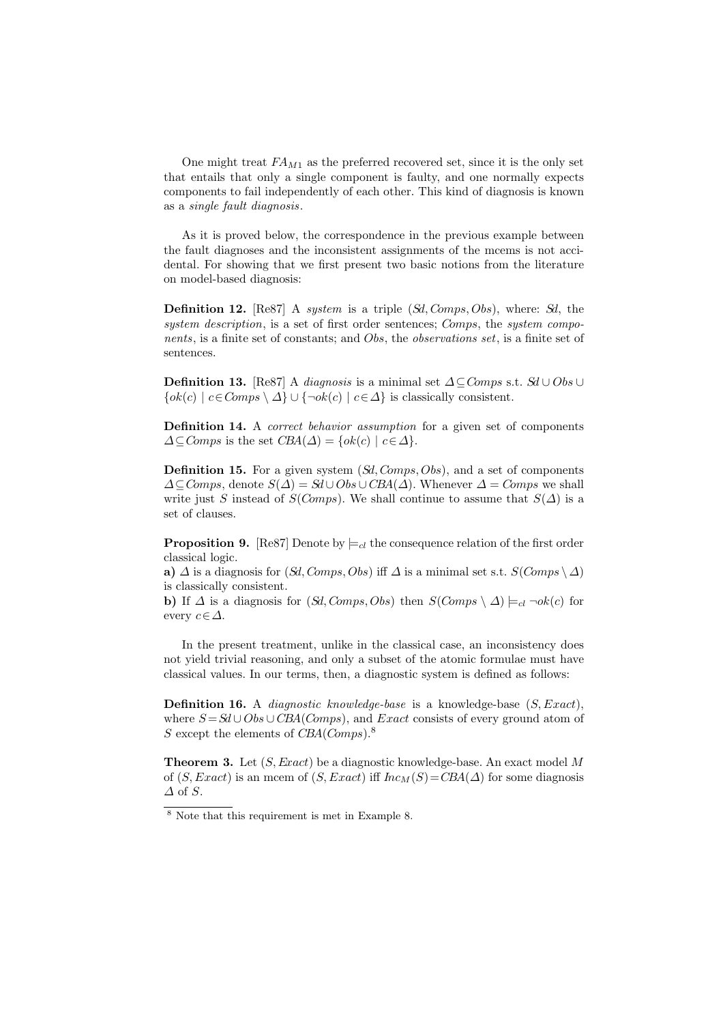One might treat  $FA_{M1}$  as the preferred recovered set, since it is the only set that entails that only a single component is faulty, and one normally expects components to fail independently of each other. This kind of diagnosis is known as a single fault diagnosis.

As it is proved below, the correspondence in the previous example between the fault diagnoses and the inconsistent assignments of the mcems is not accidental. For showing that we first present two basic notions from the literature on model-based diagnosis:

**Definition 12.**  $[Res7]$  A *system* is a triple  $(Sd, Comps, Obs)$ , where:  $Sd$ , the system description, is a set of first order sentences; Comps, the system components, is a finite set of constants; and Obs, the observations set, is a finite set of sentences.

**Definition 13.** [Re87] A *diagnosis* is a minimal set  $\Delta \subseteq Comps$  s.t.  $Sd \cup Obs \cup$  $\{ok(c) \mid c \in Comps \setminus \Delta\} \cup \{\neg ok(c) \mid c \in \Delta\}$  is classically consistent.

**Definition 14.** A *correct behavior assumption* for a given set of components  $\Delta \subseteq Comps$  is the set  $CBA(\Delta) = \{ok(c) \mid c \in \Delta\}.$ 

**Definition 15.** For a given system  $(Sd, Comps, Obs)$ , and a set of components  $\Delta \subseteq Comps$ , denote  $S(\Delta) = \mathcal{S}d \cup Obs \cup \mathcal{CBA}(\Delta)$ . Whenever  $\Delta = Comps$  we shall write just S instead of S(Comps). We shall continue to assume that  $S(\Delta)$  is a set of clauses.

**Proposition 9.** [Re87] Denote by  $\models_{cl}$  the consequence relation of the first order classical logic.

a)  $\Delta$  is a diagnosis for  $(Sd, Comps, Obs)$  iff  $\Delta$  is a minimal set s.t.  $S(Comps \setminus \Delta)$ is classically consistent.

b) If  $\Delta$  is a diagnosis for  $(Sd, Comps, Obs)$  then  $S(Comps \setminus \Delta) \models_{cl} \neg ok(c)$  for every  $c \in \Delta$ .

In the present treatment, unlike in the classical case, an inconsistency does not yield trivial reasoning, and only a subset of the atomic formulae must have classical values. In our terms, then, a diagnostic system is defined as follows:

**Definition 16.** A *diagnostic knowledge-base* is a knowledge-base  $(S, Exact)$ , where  $S = Sd \cup Obs \cup CBA(Comps)$ , and Exact consists of every ground atom of S except the elements of  $CBA(Comps)^8$ .

**Theorem 3.** Let  $(S, Exact)$  be a diagnostic knowledge-base. An exact model M of  $(S, Exact)$  is an mcem of  $(S, Exact)$  iff  $Inc_M(S) = CBA(\Delta)$  for some diagnosis  $\Delta$  of  $S$ .

 $8$  Note that this requirement is met in Example 8.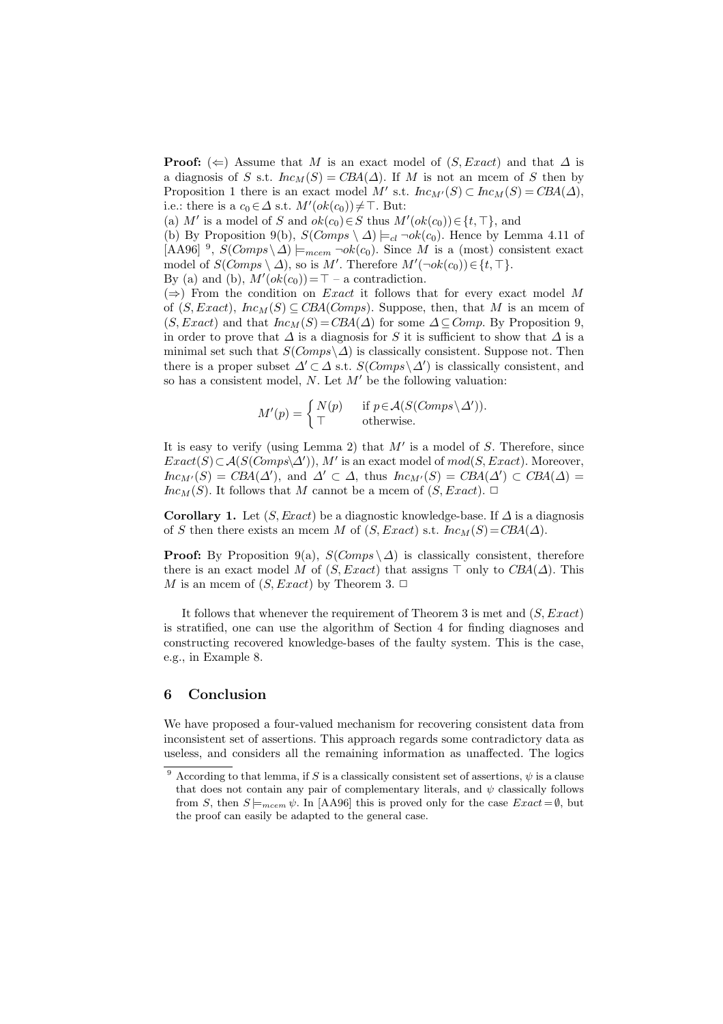**Proof:** ( $\Leftarrow$ ) Assume that M is an exact model of (S, Exact) and that  $\Delta$  is a diagnosis of S s.t.  $Inc_M(S) = CBA(\Delta)$ . If M is not an mcem of S then by Proposition 1 there is an exact model M' s.t.  $Inc_{M'}(S) \subset Inc_M(S) = CBA(\Delta)$ , i.e.: there is a  $c_0 \in \Delta$  s.t.  $M'(ok(c_0)) \neq \top$ . But:

(a) M' is a model of S and  $ok(c_0) \in S$  thus  $M'(ok(c_0)) \in \{t, \top\}$ , and

(b) By Proposition 9(b),  $S(Comps \setminus \Delta) \models_{cl} \neg ok(c_0)$ . Hence by Lemma 4.11 of [AA96] <sup>9</sup>,  $S(Comps\setminus\Delta) \models_{meem} \neg ok(c_0)$ . Since M is a (most) consistent exact model of  $S(Comps \setminus \Delta)$ , so is M'. Therefore  $M'(\neg ok(c_0)) \in \{t, \top\}.$ 

By (a) and (b),  $M'(ok(c_0)) = \top -$  a contradiction.

 $(\Rightarrow)$  From the condition on *Exact* it follows that for every exact model M of  $(S, Exact), Inc_M(S) \subseteq CBA(Comps)$ . Suppose, then, that M is an mcem of  $(S, Exact)$  and that  $Inc_M(S) = CBA(\Delta)$  for some  $\Delta \subseteq Comp$ . By Proposition 9, in order to prove that  $\Delta$  is a diagnosis for S it is sufficient to show that  $\Delta$  is a minimal set such that  $S(Comps\setminus\Delta)$  is classically consistent. Suppose not. Then there is a proper subset  $\Delta' \subset \Delta$  s.t.  $S(Comps \setminus \Delta')$  is classically consistent, and so has a consistent model, N. Let  $M'$  be the following valuation:

$$
M'(p) = \begin{cases} N(p) & \text{if } p \in \mathcal{A}(S(Comps \setminus \Delta')).\\ \top & \text{otherwise.} \end{cases}
$$

It is easy to verify (using Lemma 2) that  $M'$  is a model of  $S$ . Therefore, since  $Exact(S) \subset \mathcal{A}(S(Comps \& \Delta'))$ , M' is an exact model of  $mod(S, Exact)$ . Moreover,  $Inc_{M'}(S) = CBA(\Delta'),$  and  $\Delta' \subset \Delta$ , thus  $Inc_{M'}(S) = CBA(\Delta') \subset CBA(\Delta) =$  $Inc_M(S)$ . It follows that M cannot be a mcem of  $(S, Exact)$ .  $\Box$ 

Corollary 1. Let  $(S, Exact)$  be a diagnostic knowledge-base. If  $\Delta$  is a diagnosis of S then there exists an mcem M of  $(S, Exact)$  s.t.  $Inc_M(S) = CBA(\Delta)$ .

**Proof:** By Proposition 9(a),  $S(Comps \, \setminus \Delta)$  is classically consistent, therefore there is an exact model M of  $(S, Exact)$  that assigns  $\top$  only to  $CBA(\Delta)$ . This M is an mcem of  $(S, Exact)$  by Theorem 3.  $\Box$ 

It follows that whenever the requirement of Theorem 3 is met and  $(S, Exact)$ is stratified, one can use the algorithm of Section 4 for finding diagnoses and constructing recovered knowledge-bases of the faulty system. This is the case, e.g., in Example 8.

# 6 Conclusion

We have proposed a four-valued mechanism for recovering consistent data from inconsistent set of assertions. This approach regards some contradictory data as useless, and considers all the remaining information as unaffected. The logics

<sup>&</sup>lt;sup>9</sup> According to that lemma, if S is a classically consistent set of assertions,  $\psi$  is a clause that does not contain any pair of complementary literals, and  $\psi$  classically follows from S, then  $S \models_{meem} \psi$ . In [AA96] this is proved only for the case  $Exact = \emptyset$ , but the proof can easily be adapted to the general case.